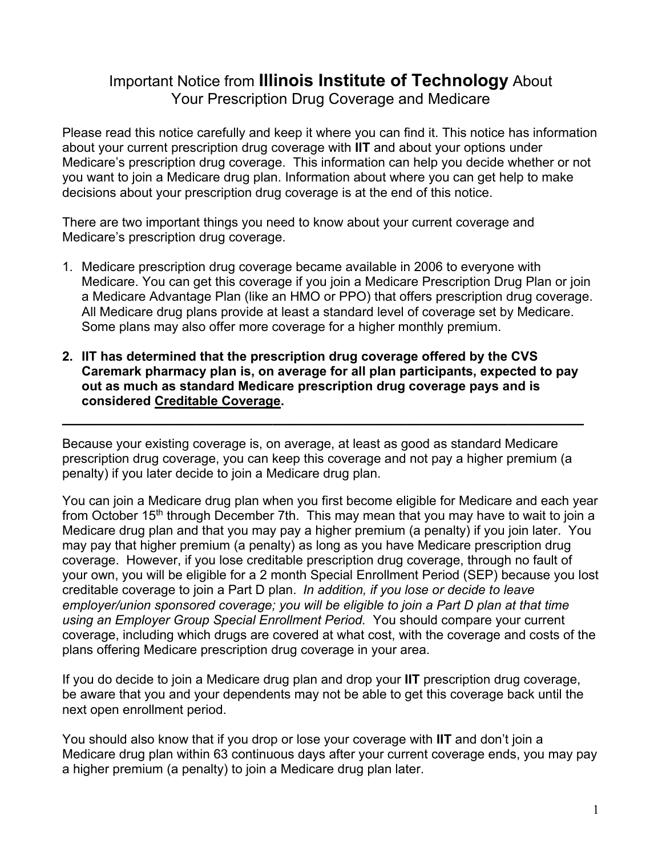## Important Notice from **Illinois Institute of Technology** About Your Prescription Drug Coverage and Medicare

Please read this notice carefully and keep it where you can find it. This notice has information about your current prescription drug coverage with **IIT** and about your options under Medicare's prescription drug coverage. This information can help you decide whether or not you want to join a Medicare drug plan. Information about where you can get help to make decisions about your prescription drug coverage is at the end of this notice.

There are two important things you need to know about your current coverage and Medicare's prescription drug coverage.

- 1. Medicare prescription drug coverage became available in 2006 to everyone with Medicare. You can get this coverage if you join a Medicare Prescription Drug Plan or join a Medicare Advantage Plan (like an HMO or PPO) that offers prescription drug coverage. All Medicare drug plans provide at least a standard level of coverage set by Medicare. Some plans may also offer more coverage for a higher monthly premium.
- **2. IIT has determined that the prescription drug coverage offered by the CVS Caremark pharmacy plan is, on average for all plan participants, expected to pay out as much as standard Medicare prescription drug coverage pays and is considered Creditable Coverage.**

**\_\_\_\_\_\_\_\_\_\_\_\_\_\_\_\_\_\_\_\_\_\_\_\_\_\_\_\_\_\_\_\_\_\_\_\_\_\_\_\_\_\_\_\_\_\_\_\_\_\_\_\_\_\_\_\_\_\_\_\_\_\_**

Because your existing coverage is, on average, at least as good as standard Medicare prescription drug coverage, you can keep this coverage and not pay a higher premium (a penalty) if you later decide to join a Medicare drug plan.

You can join a Medicare drug plan when you first become eligible for Medicare and each year from October 15<sup>th</sup> through December 7th. This may mean that you may have to wait to join a Medicare drug plan and that you may pay a higher premium (a penalty) if you join later. You may pay that higher premium (a penalty) as long as you have Medicare prescription drug coverage. However, if you lose creditable prescription drug coverage, through no fault of your own, you will be eligible for a 2 month Special Enrollment Period (SEP) because you lost creditable coverage to join a Part D plan. *In addition, if you lose or decide to leave employer/union sponsored coverage; you will be eligible to join a Part D plan at that time using an Employer Group Special Enrollment Period.* You should compare your current coverage, including which drugs are covered at what cost, with the coverage and costs of the plans offering Medicare prescription drug coverage in your area.

If you do decide to join a Medicare drug plan and drop your **IIT** prescription drug coverage, be aware that you and your dependents may not be able to get this coverage back until the next open enrollment period.

You should also know that if you drop or lose your coverage with **IIT** and don't join a Medicare drug plan within 63 continuous days after your current coverage ends, you may pay a higher premium (a penalty) to join a Medicare drug plan later.